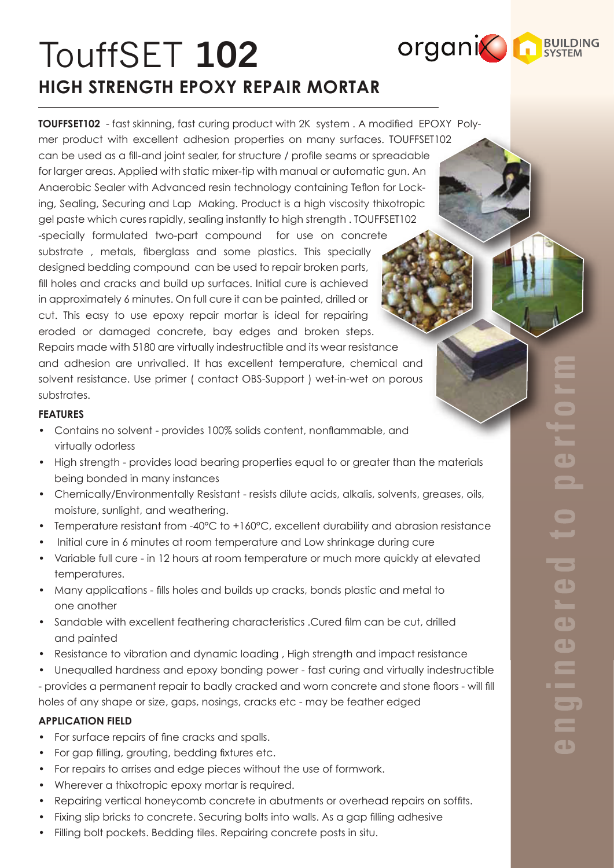# TouffSET **102 HIGH STRENGTH EPOXY REPAIR MORTAR**

**TOUFFSET102** - fast skinning, fast curing product with 2K system . A modified EPOXY Polymer product with excellent adhesion properties on many surfaces. TOUFFSET102 can be used as a fill-and joint sealer, for structure / profile seams or spreadable for larger areas. Applied with static mixer-tip with manual or automatic gun. An Anaerobic Sealer with Advanced resin technology containing Teflon for Locking, Sealing, Securing and Lap Making. Product is a high viscosity thixotropic gel paste which cures rapidly, sealing instantly to high strength . TOUFFSET102 -specially formulated two-part compound for use on concrete substrate , metals, fiberglass and some plastics. This specially designed bedding compound can be used to repair broken parts, fill holes and cracks and build up surfaces. Initial cure is achieved in approximately 6 minutes. On full cure it can be painted, drilled or cut. This easy to use epoxy repair mortar is ideal for repairing eroded or damaged concrete, bay edges and broken steps. Repairs made with 5180 are virtually indestructible and its wear resistance and adhesion are unrivalled. It has excellent temperature, chemical and solvent resistance. Use primer ( contact OBS-Support ) wet-in-wet on porous substrates.

# **FEATURES**

- Contains no solvent provides 100% solids content, nonflammable, and virtually odorless
- High strength provides load bearing properties equal to or greater than the materials being bonded in many instances
- Chemically/Environmentally Resistant resists dilute acids, alkalis, solvents, greases, oils, moisture, sunlight, and weathering.
- Temperature resistant from -40°C to +160°C, excellent durability and abrasion resistance
- Initial cure in 6 minutes at room temperature and Low shrinkage during cure
- Variable full cure in 12 hours at room temperature or much more quickly at elevated temperatures.
- Many applications fills holes and builds up cracks, bonds plastic and metal to one another
- Sandable with excellent feathering characteristics .Cured film can be cut, drilled and painted
- Resistance to vibration and dynamic loading , High strength and impact resistance
- Unequalled hardness and epoxy bonding power fast curing and virtually indestructible - provides a permanent repair to badly cracked and worn concrete and stone floors - will fill holes of any shape or size, gaps, nosings, cracks etc - may be feather edged

# **APPLICATION FIELD**

- For surface repairs of fine cracks and spalls.
- For gap filling, grouting, bedding fixtures etc.
- For repairs to arrises and edge pieces without the use of formwork.
- Wherever a thixotropic epoxy mortar is required.
- Repairing vertical honeycomb concrete in abutments or overhead repairs on soffits.
- Fixing slip bricks to concrete. Securing bolts into walls. As a gap filling adhesive
- Filling bolt pockets. Bedding tiles. Repairing concrete posts in situ.

**organic RESILIEDING**